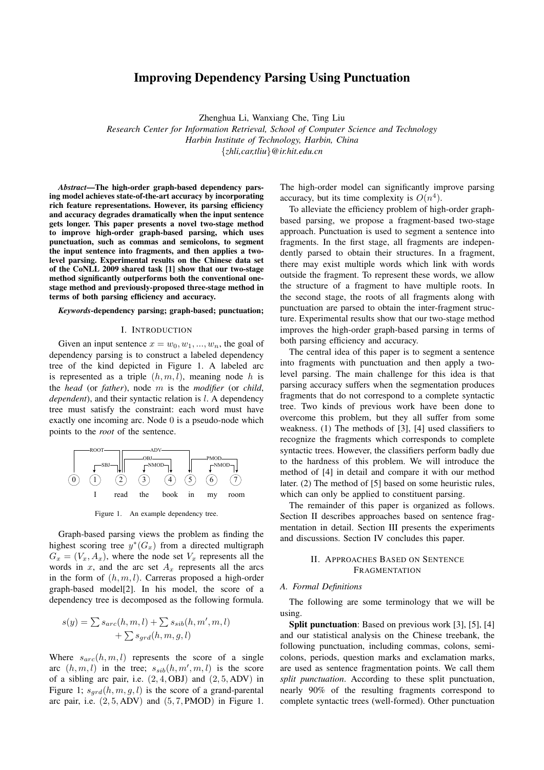# Improving Dependency Parsing Using Punctuation

Zhenghua Li, Wanxiang Che, Ting Liu

*Research Center for Information Retrieval, School of Computer Science and Technology Harbin Institute of Technology, Harbin, China {zhli,car,tliu}@ir.hit.edu.cn*

*Abstract*—The high-order graph-based dependency parsing model achieves state-of-the-art accuracy by incorporating rich feature representations. However, its parsing efficiency and accuracy degrades dramatically when the input sentence gets longer. This paper presents a novel two-stage method to improve high-order graph-based parsing, which uses punctuation, such as commas and semicolons, to segment the input sentence into fragments, and then applies a twolevel parsing. Experimental results on the Chinese data set of the CoNLL 2009 shared task [1] show that our two-stage method significantly outperforms both the conventional onestage method and previously-proposed three-stage method in terms of both parsing efficiency and accuracy.

### *Keywords*-dependency parsing; graph-based; punctuation;

#### I. INTRODUCTION

Given an input sentence  $x = w_0, w_1, ..., w_n$ , the goal of dependency parsing is to construct a labeled dependency tree of the kind depicted in Figure 1. A labeled arc is represented as a triple (*h, m, l*), meaning node *h* is the *head* (or *father*), node *m* is the *modifier* (or *child*, *dependent*), and their syntactic relation is *l*. A dependency tree must satisfy the constraint: each word must have exactly one incoming arc. Node 0 is a pseudo-node which points to the *root* of the sentence.



Figure 1. An example dependency tree.

Graph-based parsing views the problem as finding the highest scoring tree  $y^*(G_x)$  from a directed multigraph  $G_x = (V_x, A_x)$ , where the node set  $V_x$  represents all the words in *x*, and the arc set  $A_x$  represents all the arcs in the form of (*h, m, l*). Carreras proposed a high-order graph-based model[2]. In his model, the score of a dependency tree is decomposed as the following formula.

$$
s(y) = \sum s_{arc}(h, m, l) + \sum s_{sib}(h, m', m, l) + \sum s_{grd}(h, m, g, l)
$$

Where  $s_{arc}(h, m, l)$  represents the score of a single arc  $(h, m, l)$  in the tree;  $s_{sib}(h, m', m, l)$  is the score of a sibling arc pair, i.e. (2*,* 4*,* OBJ) and (2*,* 5*,* ADV) in Figure 1;  $s_{grd}(h, m, g, l)$  is the score of a grand-parental arc pair, i.e. (2*,* 5*,* ADV) and (5*,* 7*,* PMOD) in Figure 1. The high-order model can significantly improve parsing accuracy, but its time complexity is  $O(n^4)$ .

To alleviate the efficiency problem of high-order graphbased parsing, we propose a fragment-based two-stage approach. Punctuation is used to segment a sentence into fragments. In the first stage, all fragments are independently parsed to obtain their structures. In a fragment, there may exist multiple words which link with words outside the fragment. To represent these words, we allow the structure of a fragment to have multiple roots. In the second stage, the roots of all fragments along with punctuation are parsed to obtain the inter-fragment structure. Experimental results show that our two-stage method improves the high-order graph-based parsing in terms of both parsing efficiency and accuracy.

The central idea of this paper is to segment a sentence into fragments with punctuation and then apply a twolevel parsing. The main challenge for this idea is that parsing accuracy suffers when the segmentation produces fragments that do not correspond to a complete syntactic tree. Two kinds of previous work have been done to overcome this problem, but they all suffer from some weakness. (1) The methods of [3], [4] used classifiers to recognize the fragments which corresponds to complete syntactic trees. However, the classifiers perform badly due to the hardness of this problem. We will introduce the method of [4] in detail and compare it with our method later. (2) The method of [5] based on some heuristic rules, which can only be applied to constituent parsing.

The remainder of this paper is organized as follows. Section II describes approaches based on sentence fragmentation in detail. Section III presents the experiments and discussions. Section IV concludes this paper.

# II. APPROACHES BASED ON SENTENCE **FRAGMENTATION**

### *A. Formal Definitions*

The following are some terminology that we will be using.

Split punctuation: Based on previous work [3], [5], [4] and our statistical analysis on the Chinese treebank, the following punctuation, including commas, colons, semicolons, periods, question marks and exclamation marks, are used as sentence fragmentation points. We call them *split punctuation*. According to these split punctuation, nearly 90% of the resulting fragments correspond to complete syntactic trees (well-formed). Other punctuation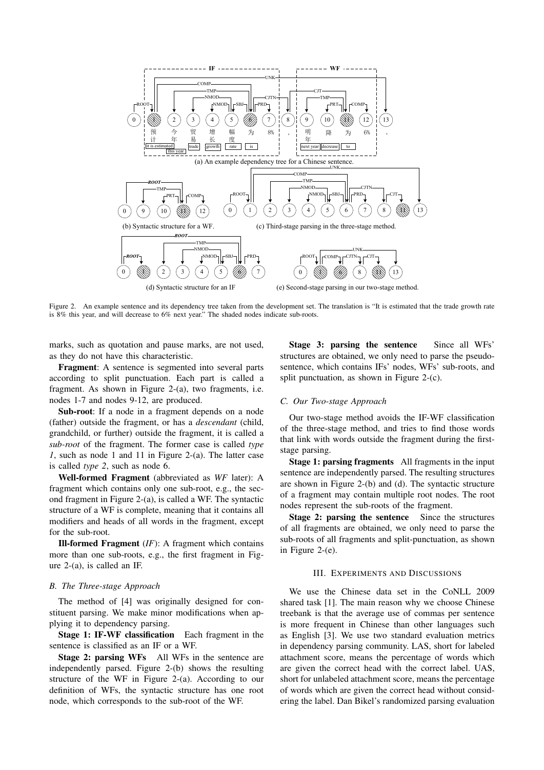

Figure 2. An example sentence and its dependency tree taken from the development set. The translation is "It is estimated that the trade growth rate is 8% this year, and will decrease to 6% next year." The shaded nodes indicate sub-roots.

marks, such as quotation and pause marks, are not used, as they do not have this characteristic.

Fragment: A sentence is segmented into several parts according to split punctuation. Each part is called a fragment. As shown in Figure 2-(a), two fragments, i.e. nodes 1-7 and nodes 9-12, are produced.

Sub-root: If a node in a fragment depends on a node (father) outside the fragment, or has a *descendant* (child, grandchild, or further) outside the fragment, it is called a *sub-root* of the fragment. The former case is called *type 1*, such as node 1 and 11 in Figure 2-(a). The latter case is called *type 2*, such as node 6.

Well-formed Fragment (abbreviated as *WF* later): A fragment which contains only one sub-root, e.g., the second fragment in Figure 2-(a), is called a WF. The syntactic structure of a WF is complete, meaning that it contains all modifiers and heads of all words in the fragment, except for the sub-root.

Ill-formed Fragment (*IF*): A fragment which contains more than one sub-roots, e.g., the first fragment in Figure 2-(a), is called an IF.

### *B. The Three-stage Approach*

The method of [4] was originally designed for constituent parsing. We make minor modifications when applying it to dependency parsing.

Stage 1: IF-WF classification Each fragment in the sentence is classified as an IF or a WF.

Stage 2: parsing WFs All WFs in the sentence are independently parsed. Figure 2-(b) shows the resulting structure of the WF in Figure 2-(a). According to our definition of WFs, the syntactic structure has one root node, which corresponds to the sub-root of the WF.

Stage 3: parsing the sentence Since all WFs' structures are obtained, we only need to parse the pseudosentence, which contains IFs' nodes, WFs' sub-roots, and split punctuation, as shown in Figure 2-(c).

# *C. Our Two-stage Approach*

Our two-stage method avoids the IF-WF classification of the three-stage method, and tries to find those words that link with words outside the fragment during the firststage parsing.

Stage 1: parsing fragments All fragments in the input sentence are independently parsed. The resulting structures are shown in Figure 2-(b) and (d). The syntactic structure of a fragment may contain multiple root nodes. The root nodes represent the sub-roots of the fragment.

Stage 2: parsing the sentence Since the structures of all fragments are obtained, we only need to parse the sub-roots of all fragments and split-punctuation, as shown in Figure 2-(e).

### III. EXPERIMENTS AND DISCUSSIONS

We use the Chinese data set in the CoNLL 2009 shared task [1]. The main reason why we choose Chinese treebank is that the average use of commas per sentence is more frequent in Chinese than other languages such as English [3]. We use two standard evaluation metrics in dependency parsing community. LAS, short for labeled attachment score, means the percentage of words which are given the correct head with the correct label. UAS, short for unlabeled attachment score, means the percentage of words which are given the correct head without considering the label. Dan Bikel's randomized parsing evaluation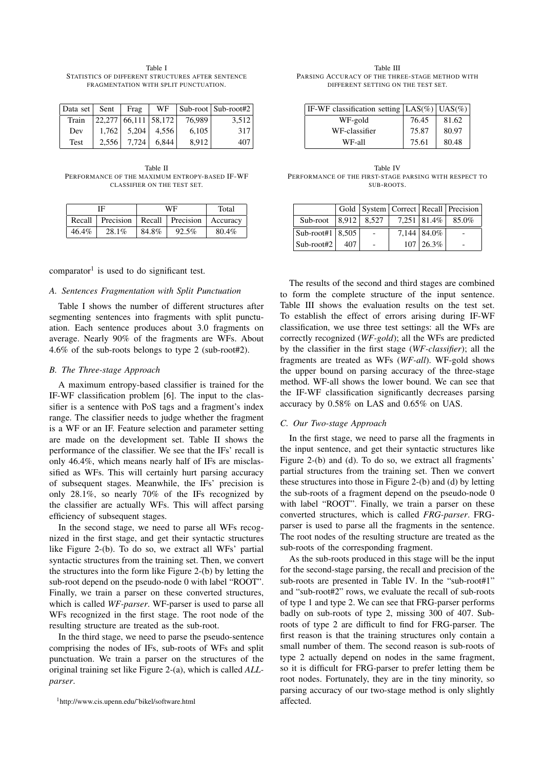Table I STATISTICS OF DIFFERENT STRUCTURES AFTER SENTENCE FRAGMENTATION WITH SPLIT PUNCTUATION.

| Data set | Sent  | Frag                   | WF    |        | Sub-root   Sub-root#2 |
|----------|-------|------------------------|-------|--------|-----------------------|
| Train    |       | $22,277$ 66,111 58,172 |       | 76,989 | 3,512                 |
| Dev      | 1.762 | 5,204                  | 4.556 | 6,105  | 317                   |
| Test     | 2.556 | 7.724                  | 6.844 | 8.912  | 407                   |

Table II PERFORMANCE OF THE MAXIMUM ENTROPY-BASED IF-WF CLASSIFIER ON THE TEST SET.

| ΙF     |           | WF    |                  | Total    |
|--------|-----------|-------|------------------|----------|
| Recall | Precision |       | Recall Precision | Accuracy |
| 46.4%  | 28.1%     | 84.8% | 92.5%            | 80.4%    |

comparator<sup>1</sup> is used to do significant test.

#### *A. Sentences Fragmentation with Split Punctuation*

Table I shows the number of different structures after segmenting sentences into fragments with split punctuation. Each sentence produces about 3.0 fragments on average. Nearly 90% of the fragments are WFs. About 4.6% of the sub-roots belongs to type 2 (sub-root#2).

### *B. The Three-stage Approach*

A maximum entropy-based classifier is trained for the IF-WF classification problem [6]. The input to the classifier is a sentence with PoS tags and a fragment's index range. The classifier needs to judge whether the fragment is a WF or an IF. Feature selection and parameter setting are made on the development set. Table II shows the performance of the classifier. We see that the IFs' recall is only 46.4%, which means nearly half of IFs are misclassified as WFs. This will certainly hurt parsing accuracy of subsequent stages. Meanwhile, the IFs' precision is only 28.1%, so nearly 70% of the IFs recognized by the classifier are actually WFs. This will affect parsing efficiency of subsequent stages.

In the second stage, we need to parse all WFs recognized in the first stage, and get their syntactic structures like Figure 2-(b). To do so, we extract all WFs' partial syntactic structures from the training set. Then, we convert the structures into the form like Figure 2-(b) by letting the sub-root depend on the pseudo-node 0 with label "ROOT". Finally, we train a parser on these converted structures, which is called *WF-parser*. WF-parser is used to parse all WFs recognized in the first stage. The root node of the resulting structure are treated as the sub-root.

In the third stage, we need to parse the pseudo-sentence comprising the nodes of IFs, sub-roots of WFs and split punctuation. We train a parser on the structures of the original training set like Figure 2-(a), which is called *ALLparser*.

Table III PARSING ACCURACY OF THE THREE-STAGE METHOD WITH DIFFERENT SETTING ON THE TEST SET.

| IF-WF classification setting $ LAS(\%) USA(\%)$ |       |       |
|-------------------------------------------------|-------|-------|
| WF-gold                                         | 76.45 | 81.62 |
| WF-classifier                                   | 75.87 | 80.97 |
| WF-all                                          | 75.61 | 80.48 |

Table IV PERFORMANCE OF THE FIRST-STAGE PARSING WITH RESPECT TO SUB-ROOTS.

|                                  |       |       |                   | Gold   System   Correct   Recall   Precision |
|----------------------------------|-------|-------|-------------------|----------------------------------------------|
| Sub-root                         | 8,912 | 8.527 |                   | $7.251 \,   \, 81.4\% \,   \, 85.0\%$        |
| $\vert$ Sub-root#1 $\vert$ 8,505 |       |       | 7,144   84.0%     |                                              |
| $Sub-root#2$                     | 407   |       | $107 \mid 26.3\%$ |                                              |

The results of the second and third stages are combined to form the complete structure of the input sentence. Table III shows the evaluation results on the test set. To establish the effect of errors arising during IF-WF classification, we use three test settings: all the WFs are correctly recognized (*WF-gold*); all the WFs are predicted by the classifier in the first stage (*WF-classifier*); all the fragments are treated as WFs (*WF-all*). WF-gold shows the upper bound on parsing accuracy of the three-stage method. WF-all shows the lower bound. We can see that the IF-WF classification significantly decreases parsing accuracy by 0.58% on LAS and 0.65% on UAS.

### *C. Our Two-stage Approach*

In the first stage, we need to parse all the fragments in the input sentence, and get their syntactic structures like Figure 2-(b) and (d). To do so, we extract all fragments' partial structures from the training set. Then we convert these structures into those in Figure 2-(b) and (d) by letting the sub-roots of a fragment depend on the pseudo-node 0 with label "ROOT". Finally, we train a parser on these converted structures, which is called *FRG-parser*. FRGparser is used to parse all the fragments in the sentence. The root nodes of the resulting structure are treated as the sub-roots of the corresponding fragment.

As the sub-roots produced in this stage will be the input for the second-stage parsing, the recall and precision of the sub-roots are presented in Table IV. In the "sub-root#1" and "sub-root#2" rows, we evaluate the recall of sub-roots of type 1 and type 2. We can see that FRG-parser performs badly on sub-roots of type 2, missing 300 of 407. Subroots of type 2 are difficult to find for FRG-parser. The first reason is that the training structures only contain a small number of them. The second reason is sub-roots of type 2 actually depend on nodes in the same fragment, so it is difficult for FRG-parser to prefer letting them be root nodes. Fortunately, they are in the tiny minority, so parsing accuracy of our two-stage method is only slightly affected.

<sup>1</sup>http://www.cis.upenn.edu/˜bikel/software.html